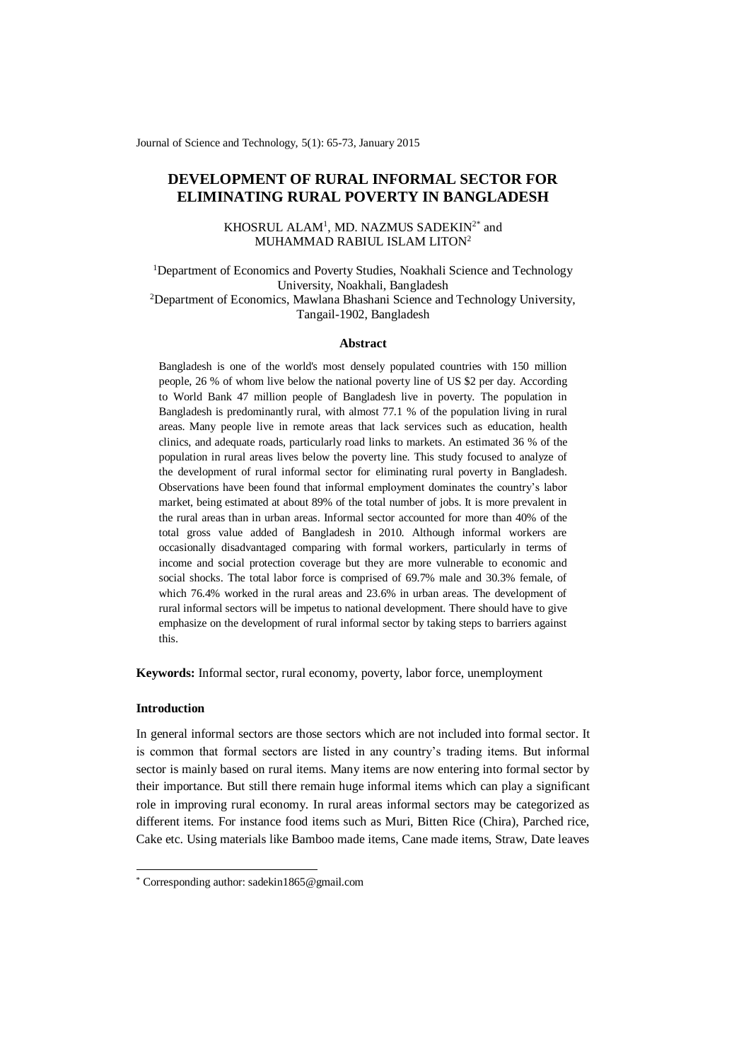Journal of Science and Technology, 5(1): 65-73, January 2015

# **DEVELOPMENT OF RURAL INFORMAL SECTOR FOR ELIMINATING RURAL POVERTY IN BANGLADESH**

KHOSRUL ALAM<sup>1</sup>, MD. NAZMUS SADEKIN<sup>2\*</sup> and MUHAMMAD RABIUL ISLAM LITON<sup>2</sup>

<sup>1</sup>Department of Economics and Poverty Studies, Noakhali Science and Technology University, Noakhali, Bangladesh

<sup>2</sup>Department of Economics, Mawlana Bhashani Science and Technology University, Tangail-1902, Bangladesh

## **Abstract**

Bangladesh is one of the world's most densely populated countries with 150 million people, 26 % of whom live below the national poverty line of US \$2 per day. According to World Bank 47 million people of Bangladesh live in poverty. The population in Bangladesh is predominantly rural, with almost 77.1 % of the population living in rural areas. Many people live in remote areas that lack services such as education, health clinics, and adequate roads, particularly road links to markets. An estimated 36 % of the population in rural areas lives below the poverty line. This study focused to analyze of the development of rural informal sector for eliminating rural poverty in Bangladesh. Observations have been found that informal employment dominates the country's labor market, being estimated at about 89% of the total number of jobs. It is more prevalent in the rural areas than in urban areas. Informal sector accounted for more than 40% of the total gross value added of Bangladesh in 2010. Although informal workers are occasionally disadvantaged comparing with formal workers, particularly in terms of income and social protection coverage but they are more vulnerable to economic and social shocks. The total labor force is comprised of 69.7% male and 30.3% female, of which 76.4% worked in the rural areas and 23.6% in urban areas. The development of rural informal sectors will be impetus to national development. There should have to give emphasize on the development of rural informal sector by taking steps to barriers against this.

**Keywords:** Informal sector, rural economy, poverty, labor force, unemployment

# **Introduction**

-

In general informal sectors are those sectors which are not included into formal sector. It is common that formal sectors are listed in any country's trading items. But informal sector is mainly based on rural items. Many items are now entering into formal sector by their importance. But still there remain huge informal items which can play a significant role in improving rural economy. In rural areas informal sectors may be categorized as different items. For instance food items such as Muri, Bitten Rice (Chira), Parched rice, Cake etc. Using materials like Bamboo made items, Cane made items, Straw, Date leaves

<sup>\*</sup> Corresponding author[: sadekin1865@gmail.com](mailto:sadekin1865@gmail.com)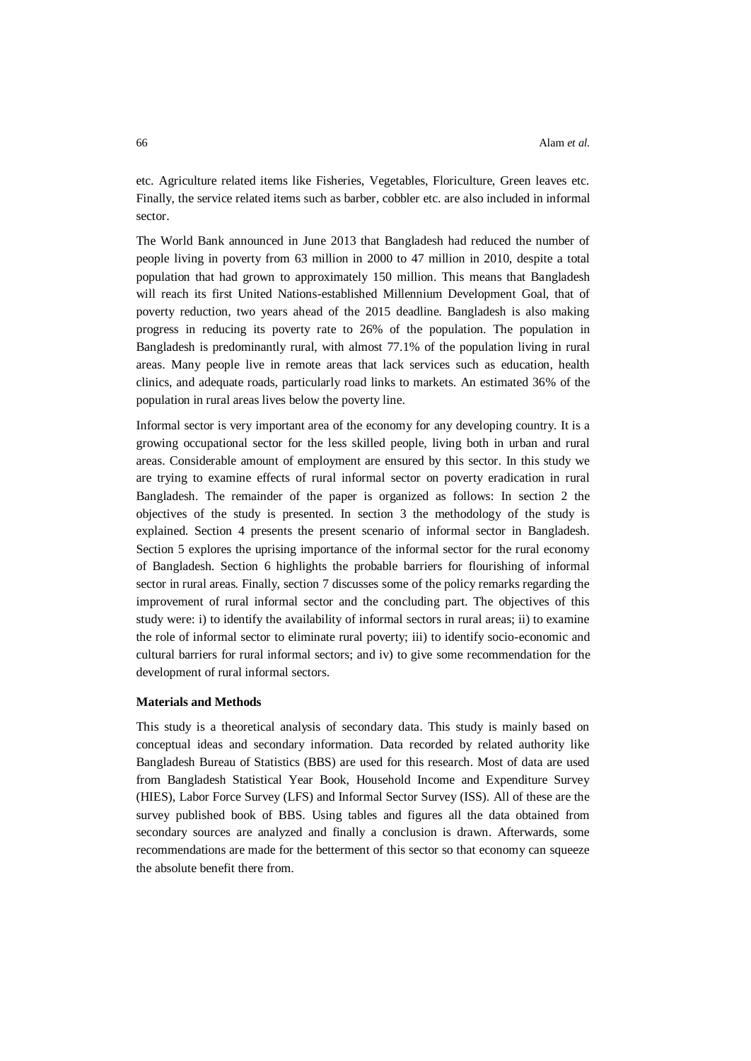etc. Agriculture related items like Fisheries, Vegetables, Floriculture, Green leaves etc. Finally, the service related items such as barber, cobbler etc. are also included in informal sector.

The World Bank announced in June 2013 that Bangladesh had reduced the number of people living in poverty from 63 million in 2000 to 47 million in 2010, despite a total population that had grown to approximately 150 million. This means that Bangladesh will reach its first United Nations-established Millennium Development Goal, that of poverty reduction, two years ahead of the 2015 deadline. Bangladesh is also making progress in reducing its poverty rate to 26% of the population. The population in Bangladesh is predominantly rural, with almost 77.1% of the population living in rural areas. Many people live in remote areas that lack services such as education, health clinics, and adequate roads, particularly road links to markets. An estimated 36% of the population in rural areas lives below the poverty line.

Informal sector is very important area of the economy for any developing country. It is a growing occupational sector for the less skilled people, living both in urban and rural areas. Considerable amount of employment are ensured by this sector. In this study we are trying to examine effects of rural informal sector on poverty eradication in rural Bangladesh. The remainder of the paper is organized as follows: In section 2 the objectives of the study is presented. In section 3 the methodology of the study is explained. Section 4 presents the present scenario of informal sector in Bangladesh. Section 5 explores the uprising importance of the informal sector for the rural economy of Bangladesh. Section 6 highlights the probable barriers for flourishing of informal sector in rural areas. Finally, section 7 discusses some of the policy remarks regarding the improvement of rural informal sector and the concluding part. The objectives of this study were: i) to identify the availability of informal sectors in rural areas; ii) to examine the role of informal sector to eliminate rural poverty; iii) to identify socio-economic and cultural barriers for rural informal sectors; and iv) to give some recommendation for the development of rural informal sectors.

## **Materials and Methods**

This study is a theoretical analysis of secondary data. This study is mainly based on conceptual ideas and secondary information. Data recorded by related authority like Bangladesh Bureau of Statistics (BBS) are used for this research. Most of data are used from Bangladesh Statistical Year Book, Household Income and Expenditure Survey (HIES), Labor Force Survey (LFS) and Informal Sector Survey (ISS). All of these are the survey published book of BBS. Using tables and figures all the data obtained from secondary sources are analyzed and finally a conclusion is drawn. Afterwards, some recommendations are made for the betterment of this sector so that economy can squeeze the absolute benefit there from.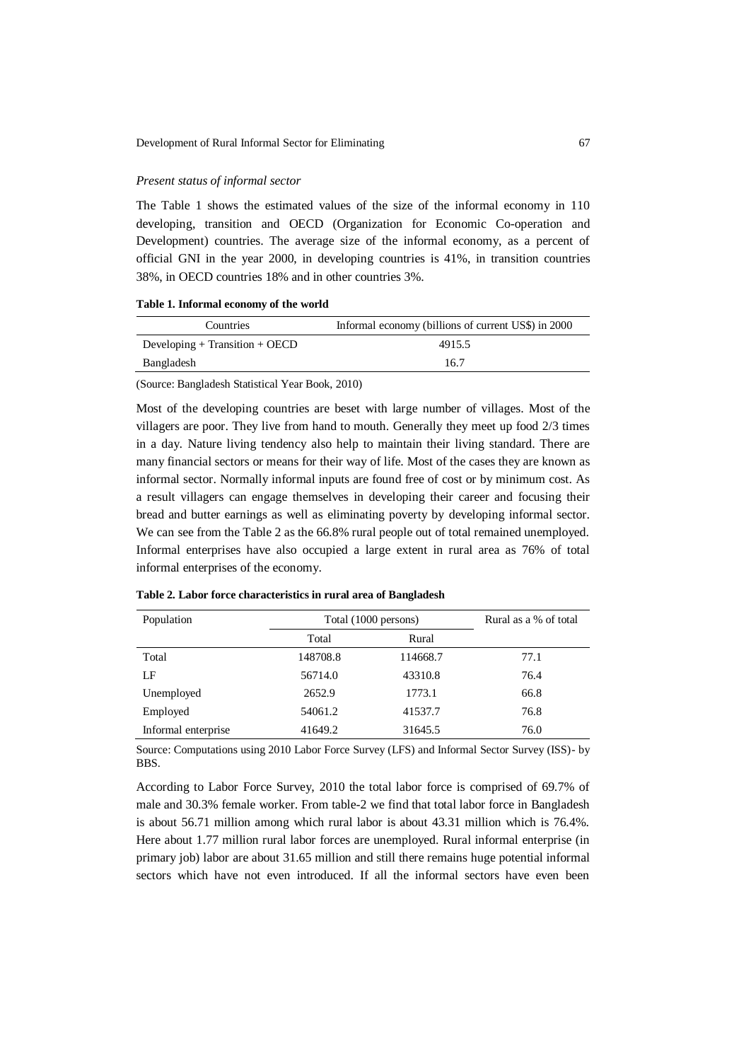## *Present status of informal sector*

The Table 1 shows the estimated values of the size of the informal economy in 110 developing, transition and [OECD](http://en.wikipedia.org/wiki/OECD) (Organization for Economic Co-operation and Development) countries. The average size of the informal economy, as a percent of official [GNI](http://en.wikipedia.org/wiki/Gross_national_income) in the year 2000, in [developing countries](http://en.wikipedia.org/wiki/Developing_country) is 41%, in [transition countries](http://en.wikipedia.org/wiki/Transition_country) 38%, in OECD countries 18% and in other countries 3%.

**Table 1. Informal economy of the world**

| Countries                          | Informal economy (billions of current US\$) in 2000 |
|------------------------------------|-----------------------------------------------------|
| Developing $+$ Transition $+$ OECD | 4915.5                                              |
| Bangladesh                         | 16.7                                                |
|                                    |                                                     |

(Source: Bangladesh Statistical Year Book, 2010)

Most of the developing countries are beset with large number of villages. Most of the villagers are poor. They live from hand to mouth. Generally they meet up food 2/3 times in a day. Nature living tendency also help to maintain their living standard. There are many financial sectors or means for their way of life. Most of the cases they are known as informal sector. Normally informal inputs are found free of cost or by minimum cost. As a result villagers can engage themselves in developing their career and focusing their bread and butter earnings as well as eliminating poverty by developing informal sector. We can see from the Table 2 as the 66.8% rural people out of total remained unemployed. Informal enterprises have also occupied a large extent in rural area as 76% of total informal enterprises of the economy.

| Population          | Total (1000 persons) |          | Rural as a % of total |
|---------------------|----------------------|----------|-----------------------|
|                     | Total                | Rural    |                       |
| Total               | 148708.8             | 114668.7 | 77.1                  |
| LF                  | 56714.0              | 43310.8  | 76.4                  |
| Unemployed          | 2652.9               | 1773.1   | 66.8                  |
| Employed            | 54061.2              | 41537.7  | 76.8                  |
| Informal enterprise | 41649.2              | 31645.5  | 76.0                  |

**Table 2. Labor force characteristics in rural area of Bangladesh**

Source: Computations using 2010 Labor Force Survey (LFS) and Informal Sector Survey (ISS)- by BBS.

According to Labor Force Survey, 2010 the total labor force is comprised of 69.7% of male and 30.3% female worker. From table-2 we find that total labor force in Bangladesh is about 56.71 million among which rural labor is about 43.31 million which is 76.4%. Here about 1.77 million rural labor forces are unemployed. Rural informal enterprise (in primary job) labor are about 31.65 million and still there remains huge potential informal sectors which have not even introduced. If all the informal sectors have even been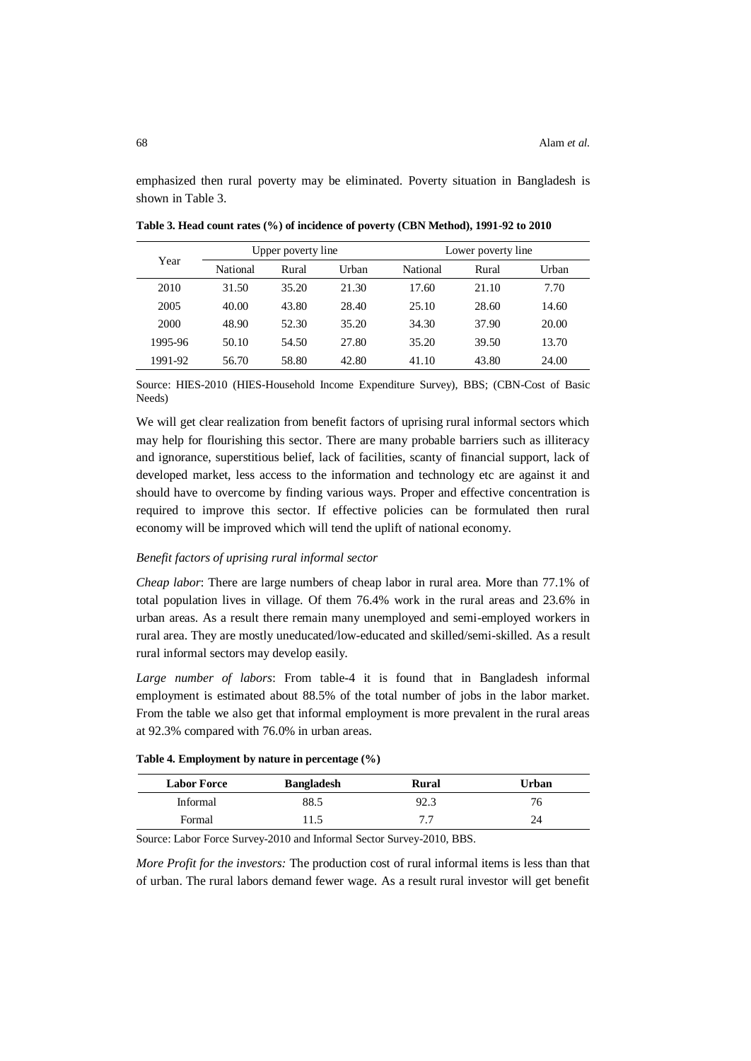emphasized then rural poverty may be eliminated. Poverty situation in Bangladesh is shown in Table 3.

|         | Upper poverty line |       | Lower poverty line |          |       |       |
|---------|--------------------|-------|--------------------|----------|-------|-------|
| Year    | National           | Rural | Urban              | National | Rural | Urban |
| 2010    | 31.50              | 35.20 | 21.30              | 17.60    | 21.10 | 7.70  |
| 2005    | 40.00              | 43.80 | 28.40              | 25.10    | 28.60 | 14.60 |
| 2000    | 48.90              | 52.30 | 35.20              | 34.30    | 37.90 | 20.00 |
| 1995-96 | 50.10              | 54.50 | 27.80              | 35.20    | 39.50 | 13.70 |
| 1991-92 | 56.70              | 58.80 | 42.80              | 41.10    | 43.80 | 24.00 |

**Table 3. Head count rates (%) of incidence of poverty (CBN Method), 1991-92 to 2010**

Source: HIES-2010 (HIES-Household Income Expenditure Survey), BBS; (CBN-Cost of Basic Needs)

We will get clear realization from benefit factors of uprising rural informal sectors which may help for flourishing this sector. There are many probable barriers such as illiteracy and ignorance, superstitious belief, lack of facilities, scanty of financial support, lack of developed market, less access to the information and technology etc are against it and should have to overcome by finding various ways. Proper and effective concentration is required to improve this sector. If effective policies can be formulated then rural economy will be improved which will tend the uplift of national economy.

## *Benefit factors of uprising rural informal sector*

*Cheap labor*: There are large numbers of cheap labor in rural area. More than 77.1% of total population lives in village. Of them 76.4% work in the rural areas and 23.6% in urban areas. As a result there remain many unemployed and semi-employed workers in rural area. They are mostly uneducated/low-educated and skilled/semi-skilled. As a result rural informal sectors may develop easily.

*Large number of labors*: From table-4 it is found that in Bangladesh informal employment is estimated about 88.5% of the total number of jobs in the labor market. From the table we also get that informal employment is more prevalent in the rural areas at 92.3% compared with 76.0% in urban areas.

|  | Table 4. Employment by nature in percentage (%) |  |  |  |  |  |
|--|-------------------------------------------------|--|--|--|--|--|
|--|-------------------------------------------------|--|--|--|--|--|

| <b>Labor Force</b> | <b>Bangladesh</b> | Rural | Urban |
|--------------------|-------------------|-------|-------|
| Informal           | 88.5              | 92.3  | 76    |
| Formal             | 11.5              | 77    |       |

Source: Labor Force Survey-2010 and Informal Sector Survey-2010, BBS.

*More Profit for the investors:* The production cost of rural informal items is less than that of urban. The rural labors demand fewer wage. As a result rural investor will get benefit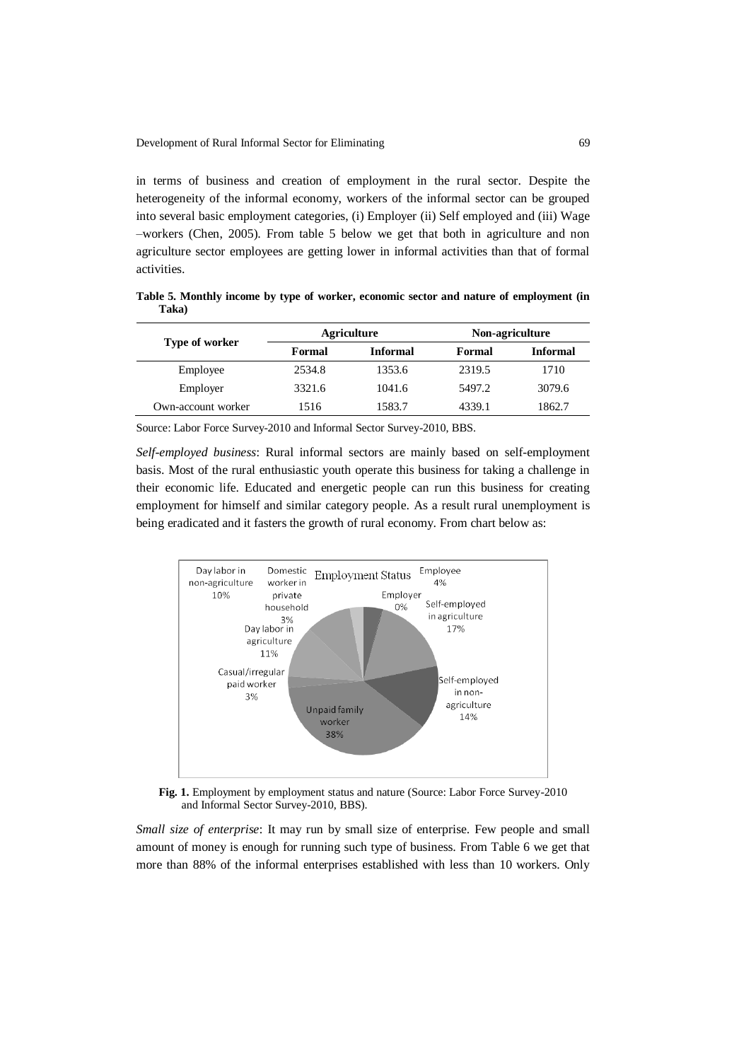in terms of business and creation of employment in the rural sector. Despite the heterogeneity of the informal economy, workers of the informal sector can be grouped into several basic employment categories, (i) Employer (ii) Self employed and (iii) Wage –workers (Chen, 2005). From table 5 below we get that both in agriculture and non agriculture sector employees are getting lower in informal activities than that of formal activities.

**Table 5. Monthly income by type of worker, economic sector and nature of employment (in Taka)**

|                    | <b>Agriculture</b> |                 | Non-agriculture |                 |
|--------------------|--------------------|-----------------|-----------------|-----------------|
| Type of worker     | Formal             | <b>Informal</b> | Formal          | <b>Informal</b> |
| Employee           | 2534.8             | 1353.6          | 2319.5          | 1710            |
| Employer           | 3321.6             | 1041.6          | 5497.2          | 3079.6          |
| Own-account worker | 1516               | 1583.7          | 4339.1          | 1862.7          |

Source: Labor Force Survey-2010 and Informal Sector Survey-2010, BBS.

*Self-employed business*: Rural informal sectors are mainly based on self-employment basis. Most of the rural enthusiastic youth operate this business for taking a challenge in their economic life. Educated and energetic people can run this business for creating employment for himself and similar category people. As a result rural unemployment is being eradicated and it fasters the growth of rural economy. From chart below as:



Fig. 1. Employment by employment status and nature (Source: Labor Force Survey-2010) and Informal Sector Survey-2010, BBS).

*Small size of enterprise*: It may run by small size of enterprise. Few people and small amount of money is enough for running such type of business. From Table 6 we get that more than 88% of the informal enterprises established with less than 10 workers. Only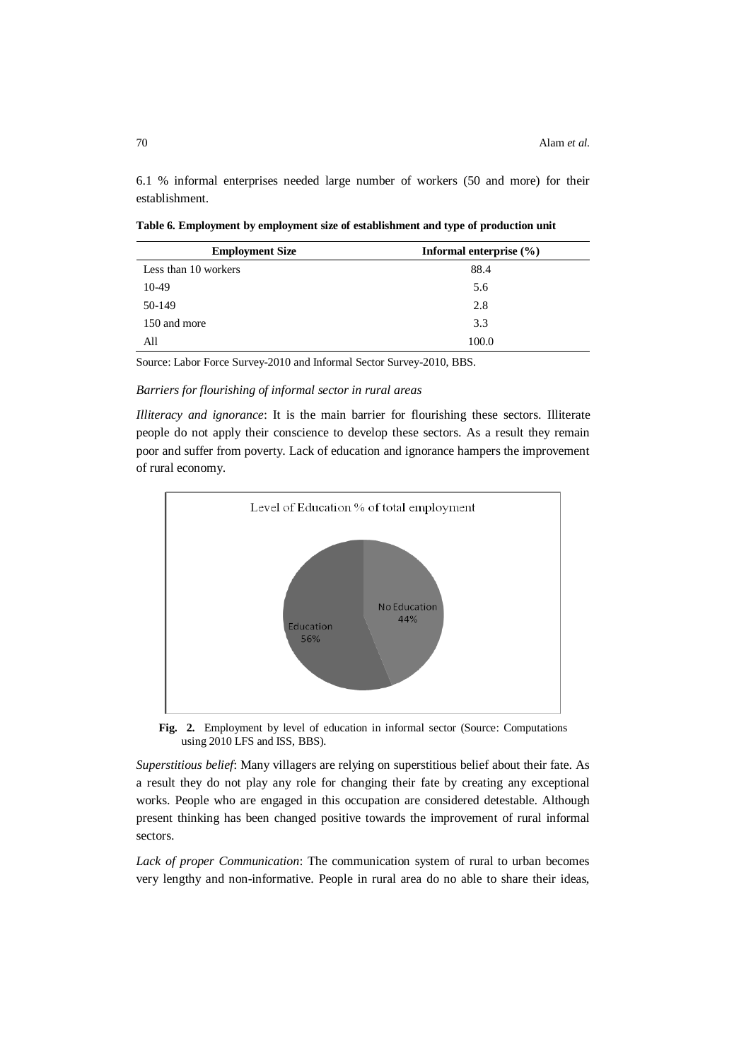6.1 % informal enterprises needed large number of workers (50 and more) for their establishment.

**Table 6. Employment by employment size of establishment and type of production unit**

| <b>Employment Size</b> | Informal enterprise $(\% )$ |  |
|------------------------|-----------------------------|--|
| Less than 10 workers   | 88.4                        |  |
| 10-49                  | 5.6                         |  |
| 50-149                 | 2.8                         |  |
| 150 and more           | 3.3                         |  |
| All                    | 100.0                       |  |

Source: Labor Force Survey-2010 and Informal Sector Survey-2010, BBS.

# *Barriers for flourishing of informal sector in rural areas*

*Illiteracy and ignorance*: It is the main barrier for flourishing these sectors. Illiterate people do not apply their conscience to develop these sectors. As a result they remain poor and suffer from poverty. Lack of education and ignorance hampers the improvement of rural economy.



**Fig. 2.** Employment by level of education in informal sector (Source: Computations using 2010 LFS and ISS, BBS).

*Superstitious belief*: Many villagers are relying on superstitious belief about their fate. As a result they do not play any role for changing their fate by creating any exceptional works. People who are engaged in this occupation are considered detestable. Although present thinking has been changed positive towards the improvement of rural informal sectors.

*Lack of proper Communication*: The communication system of rural to urban becomes very lengthy and non-informative. People in rural area do no able to share their ideas,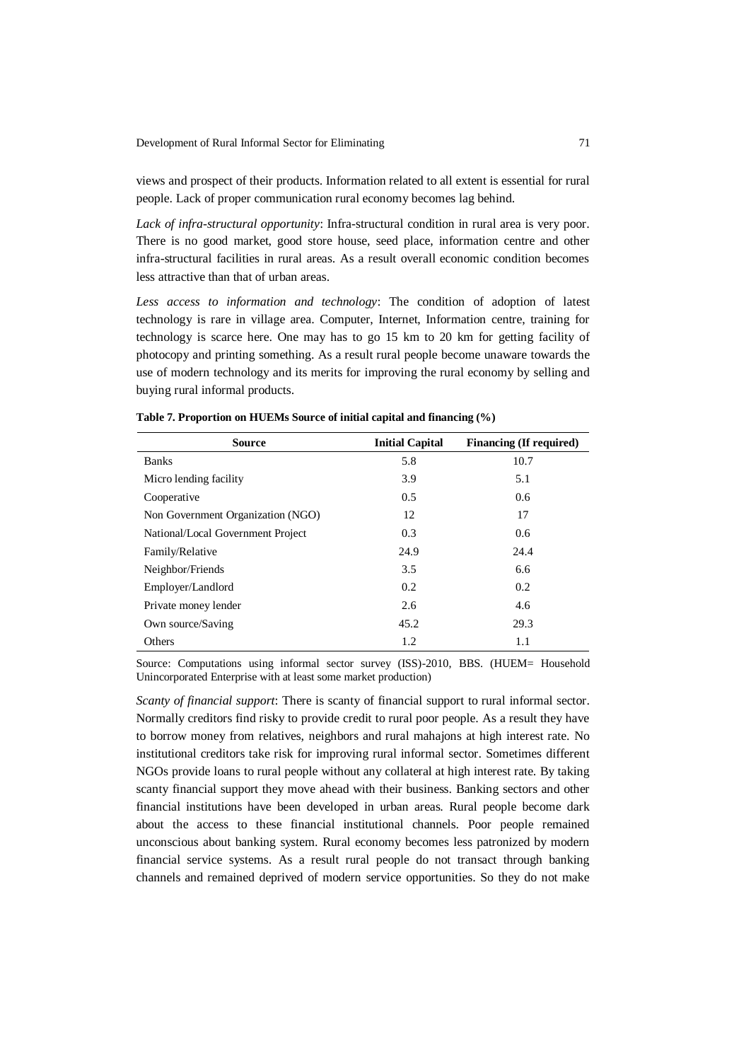views and prospect of their products. Information related to all extent is essential for rural people. Lack of proper communication rural economy becomes lag behind.

*Lack of infra-structural opportunity*: Infra-structural condition in rural area is very poor. There is no good market, good store house, seed place, information centre and other infra-structural facilities in rural areas. As a result overall economic condition becomes less attractive than that of urban areas.

*Less access to information and technology*: The condition of adoption of latest technology is rare in village area. Computer, Internet, Information centre, training for technology is scarce here. One may has to go 15 km to 20 km for getting facility of photocopy and printing something. As a result rural people become unaware towards the use of modern technology and its merits for improving the rural economy by selling and buying rural informal products.

| <b>Source</b>                     | <b>Initial Capital</b> | Financing (If required) |
|-----------------------------------|------------------------|-------------------------|
| <b>Banks</b>                      | 5.8                    | 10.7                    |
| Micro lending facility            | 3.9                    | 5.1                     |
| Cooperative                       | 0.5                    | 0.6                     |
| Non Government Organization (NGO) | 12                     | 17                      |
| National/Local Government Project | 0.3                    | 0.6                     |
| Family/Relative                   | 24.9                   | 24.4                    |
| Neighbor/Friends                  | 3.5                    | 6.6                     |
| Employer/Landlord                 | 0.2                    | 0.2                     |
| Private money lender              | 2.6                    | 4.6                     |
| Own source/Saving                 | 45.2                   | 29.3                    |
| Others                            | 1.2                    | 1.1                     |

|  |  | Table 7. Proportion on HUEMs Source of initial capital and financing (%) |
|--|--|--------------------------------------------------------------------------|
|--|--|--------------------------------------------------------------------------|

Source: Computations using informal sector survey (ISS)-2010, BBS. (HUEM= Household Unincorporated Enterprise with at least some market production)

*Scanty of financial support*: There is scanty of financial support to rural informal sector. Normally creditors find risky to provide credit to rural poor people. As a result they have to borrow money from relatives, neighbors and rural mahajons at high interest rate. No institutional creditors take risk for improving rural informal sector. Sometimes different NGOs provide loans to rural people without any collateral at high interest rate. By taking scanty financial support they move ahead with their business. Banking sectors and other financial institutions have been developed in urban areas. Rural people become dark about the access to these financial institutional channels. Poor people remained unconscious about banking system. Rural economy becomes less patronized by modern financial service systems. As a result rural people do not transact through banking channels and remained deprived of modern service opportunities. So they do not make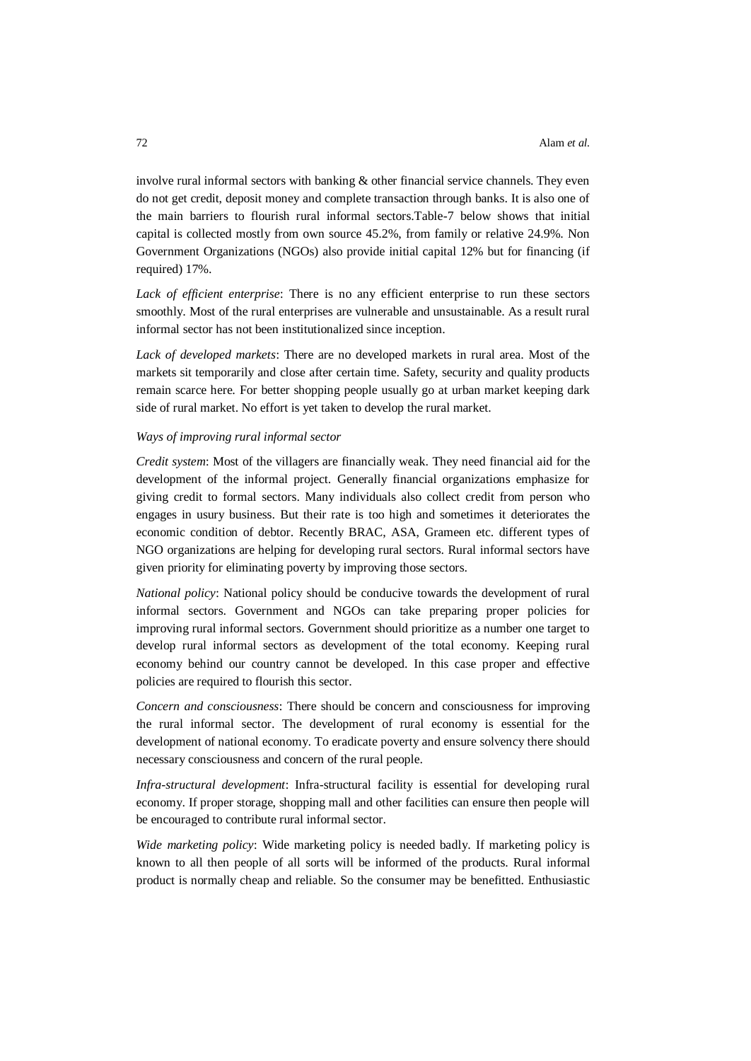involve rural informal sectors with banking & other financial service channels. They even do not get credit, deposit money and complete transaction through banks. It is also one of the main barriers to flourish rural informal sectors.Table-7 below shows that initial capital is collected mostly from own source 45.2%, from family or relative 24.9%. Non Government Organizations (NGOs) also provide initial capital 12% but for financing (if required) 17%.

*Lack of efficient enterprise*: There is no any efficient enterprise to run these sectors smoothly. Most of the rural enterprises are vulnerable and unsustainable. As a result rural informal sector has not been institutionalized since inception.

*Lack of developed markets*: There are no developed markets in rural area. Most of the markets sit temporarily and close after certain time. Safety, security and quality products remain scarce here. For better shopping people usually go at urban market keeping dark side of rural market. No effort is yet taken to develop the rural market.

### *Ways of improving rural informal sector*

*Credit system*: Most of the villagers are financially weak. They need financial aid for the development of the informal project. Generally financial organizations emphasize for giving credit to formal sectors. Many individuals also collect credit from person who engages in usury business. But their rate is too high and sometimes it deteriorates the economic condition of debtor. Recently BRAC, ASA, Grameen etc. different types of NGO organizations are helping for developing rural sectors. Rural informal sectors have given priority for eliminating poverty by improving those sectors.

*National policy*: National policy should be conducive towards the development of rural informal sectors. Government and NGOs can take preparing proper policies for improving rural informal sectors. Government should prioritize as a number one target to develop rural informal sectors as development of the total economy. Keeping rural economy behind our country cannot be developed. In this case proper and effective policies are required to flourish this sector.

*Concern and consciousness*: There should be concern and consciousness for improving the rural informal sector. The development of rural economy is essential for the development of national economy. To eradicate poverty and ensure solvency there should necessary consciousness and concern of the rural people.

*Infra-structural development*: Infra-structural facility is essential for developing rural economy. If proper storage, shopping mall and other facilities can ensure then people will be encouraged to contribute rural informal sector.

*Wide marketing policy*: Wide marketing policy is needed badly. If marketing policy is known to all then people of all sorts will be informed of the products. Rural informal product is normally cheap and reliable. So the consumer may be benefitted. Enthusiastic